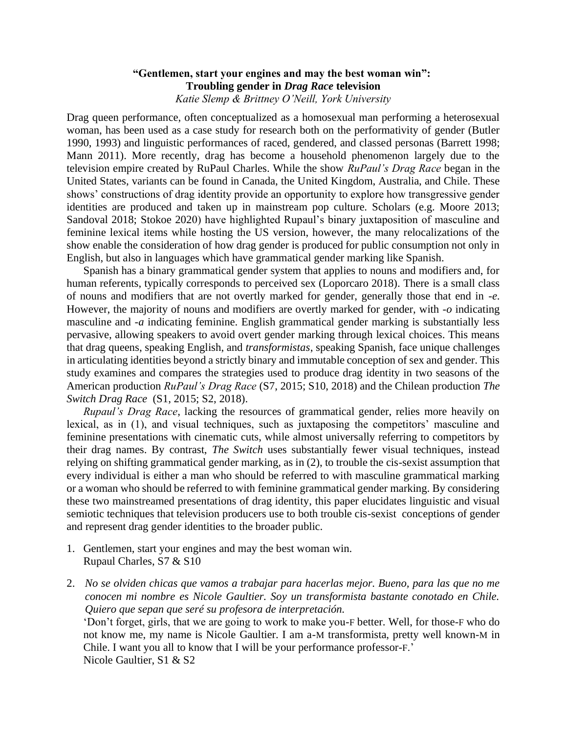## **"Gentlemen, start your engines and may the best woman win": Troubling gender in** *Drag Race* **television** *Katie Slemp & Brittney O'Neill, York University*

Drag queen performance, often conceptualized as a homosexual man performing a heterosexual woman, has been used as a case study for research both on the performativity of gender (Butler 1990, 1993) and linguistic performances of raced, gendered, and classed personas (Barrett 1998; Mann 2011). More recently, drag has become a household phenomenon largely due to the television empire created by RuPaul Charles. While the show *RuPaul's Drag Race* began in the United States, variants can be found in Canada, the United Kingdom, Australia, and Chile. These shows' constructions of drag identity provide an opportunity to explore how transgressive gender identities are produced and taken up in mainstream pop culture. Scholars (e.g. Moore 2013; Sandoval 2018; Stokoe 2020) have highlighted Rupaul's binary juxtaposition of masculine and feminine lexical items while hosting the US version, however, the many relocalizations of the show enable the consideration of how drag gender is produced for public consumption not only in English, but also in languages which have grammatical gender marking like Spanish.

Spanish has a binary grammatical gender system that applies to nouns and modifiers and, for human referents, typically corresponds to perceived sex (Loporcaro 2018). There is a small class of nouns and modifiers that are not overtly marked for gender, generally those that end in *-e*. However, the majority of nouns and modifiers are overtly marked for gender, with *-o* indicating masculine and *-a* indicating feminine. English grammatical gender marking is substantially less pervasive, allowing speakers to avoid overt gender marking through lexical choices. This means that drag queens, speaking English, and *transformistas*, speaking Spanish, face unique challenges in articulating identities beyond a strictly binary and immutable conception of sex and gender. This study examines and compares the strategies used to produce drag identity in two seasons of the American production *RuPaul's Drag Race* (S7, 2015; S10, 2018) and the Chilean production *The Switch Drag Race* (S1, 2015; S2, 2018).

*Rupaul's Drag Race*, lacking the resources of grammatical gender, relies more heavily on lexical, as in (1), and visual techniques, such as juxtaposing the competitors' masculine and feminine presentations with cinematic cuts, while almost universally referring to competitors by their drag names. By contrast, *The Switch* uses substantially fewer visual techniques, instead relying on shifting grammatical gender marking, as in (2), to trouble the cis-sexist assumption that every individual is either a man who should be referred to with masculine grammatical marking or a woman who should be referred to with feminine grammatical gender marking. By considering these two mainstreamed presentations of drag identity, this paper elucidates linguistic and visual semiotic techniques that television producers use to both trouble cis-sexist conceptions of gender and represent drag gender identities to the broader public.

- 1. Gentlemen, start your engines and may the best woman win. Rupaul Charles, S7 & S10
- 2. *No se olviden chicas que vamos a trabajar para hacerlas mejor. Bueno, para las que no me conocen mi nombre es Nicole Gaultier. Soy un transformista bastante conotado en Chile. Quiero que sepan que seré su profesora de interpretación.* 'Don't forget, girls, that we are going to work to make you-F better. Well, for those-F who do not know me, my name is Nicole Gaultier. I am a-M transformista, pretty well known-M in Chile. I want you all to know that I will be your performance professor-F.' Nicole Gaultier, S1 & S2